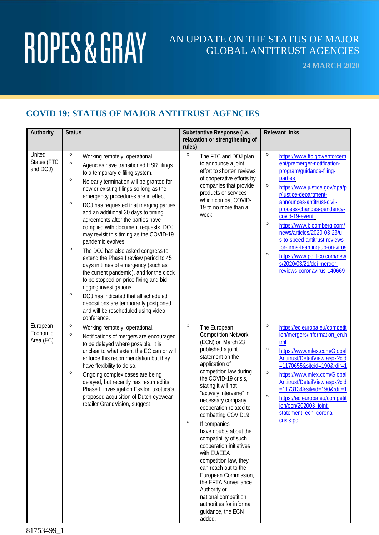### AN UPDATE ON THE STATUS OF MAJOR GLOBAL ANTITRUST AGENCIES

**24 MARCH 2020**

#### **COVID 19: STATUS OF MAJOR ANTITRUST AGENCIES**

| Authority                         | <b>Status</b>                                                                                                                                                                                                                                                                                                                                                                                                                                                                                                                                                                                                                                                                                                                                                                                                                                                                                                           | Substantive Response (i.e.,<br>relaxation or strengthening of<br>rules)                                                                                                                                                                                                                                                                                                                                                                                                                                                                                                                                                                    | <b>Relevant links</b>                                                                                                                                                                                                                                                                                                                                                                                                                                                                                                 |
|-----------------------------------|-------------------------------------------------------------------------------------------------------------------------------------------------------------------------------------------------------------------------------------------------------------------------------------------------------------------------------------------------------------------------------------------------------------------------------------------------------------------------------------------------------------------------------------------------------------------------------------------------------------------------------------------------------------------------------------------------------------------------------------------------------------------------------------------------------------------------------------------------------------------------------------------------------------------------|--------------------------------------------------------------------------------------------------------------------------------------------------------------------------------------------------------------------------------------------------------------------------------------------------------------------------------------------------------------------------------------------------------------------------------------------------------------------------------------------------------------------------------------------------------------------------------------------------------------------------------------------|-----------------------------------------------------------------------------------------------------------------------------------------------------------------------------------------------------------------------------------------------------------------------------------------------------------------------------------------------------------------------------------------------------------------------------------------------------------------------------------------------------------------------|
| United<br>States (FTC<br>and DOJ) | $\circ$<br>Working remotely, operational.<br>$\circ$<br>Agencies have transitioned HSR filings<br>to a temporary e-filing system.<br>$\circ$<br>No early termination will be granted for<br>new or existing filings so long as the<br>emergency procedures are in effect.<br>$\circ$<br>DOJ has requested that merging parties<br>add an additional 30 days to timing<br>agreements after the parties have<br>complied with document requests. DOJ<br>may revisit this timing as the COVID-19<br>pandemic evolves.<br>$\circ$<br>The DOJ has also asked congress to<br>extend the Phase I review period to 45<br>days in times of emergency (such as<br>the current pandemic), and for the clock<br>to be stopped on price-fixing and bid-<br>rigging investigations.<br>$\circ$<br>DOJ has indicated that all scheduled<br>depositions are temporarily postponed<br>and will be rescheduled using video<br>conference. | $\circ$<br>The FTC and DOJ plan<br>to announce a joint<br>effort to shorten reviews<br>of cooperative efforts by<br>companies that provide<br>products or services<br>which combat COVID-<br>19 to no more than a<br>week.                                                                                                                                                                                                                                                                                                                                                                                                                 | $\circ$<br>https://www.ftc.gov/enforcem<br>ent/premerger-notification-<br>program/guidance-filing-<br><b>parties</b><br>$\circ$<br>https://www.justice.gov/opa/p<br>r/justice-department-<br>announces-antitrust-civil-<br>process-changes-pendency-<br>covid-19-event<br>$\circ$<br>https://www.bloomberg.com/<br>news/articles/2020-03-23/u-<br>s-to-speed-antitrust-reviews-<br>for-firms-teaming-up-on-virus<br>$\circ$<br>https://www.politico.com/new<br>s/2020/03/21/doj-merger-<br>reviews-coronavirus-140669 |
| European<br>Economic<br>Area (EC) | $\circ$<br>Working remotely, operational.<br>$\circ$<br>Notifications of mergers are encouraged<br>to be delayed where possible. It is<br>unclear to what extent the EC can or will<br>enforce this recommendation but they<br>have flexibility to do so.<br>$\circ$<br>Ongoing complex cases are being<br>delayed, but recently has resumed its<br>Phase II investigation EssilorLuxottica's<br>proposed acquisition of Dutch eyewear<br>retailer GrandVision, suggest                                                                                                                                                                                                                                                                                                                                                                                                                                                 | $\circ$<br>The European<br><b>Competition Network</b><br>(ECN) on March 23<br>published a joint<br>statement on the<br>application of<br>competition law during<br>the COVID-19 crisis,<br>stating it will not<br>"actively intervene" in<br>necessary company<br>cooperation related to<br>combatting COVID19<br>$\circ$<br>If companies<br>have doubts about the<br>compatibility of such<br>cooperation initiatives<br>with EU/EEA<br>competition law, they<br>can reach out to the<br>European Commission,<br>the EFTA Surveillance<br>Authority or<br>national competition<br>authorities for informal<br>guidance, the ECN<br>added. | $\circ$<br>https://ec.europa.eu/competit<br>ion/mergers/information_en.h<br>tml<br>$\circ$<br>https://www.mlex.com/Global<br>Antitrust/DetailView.aspx?cid<br>=1170655&siteid=190&rdir=1<br>$\circ$<br>https://www.mlex.com/Global<br>Antitrust/DetailView.aspx?cid<br>=1173134&siteid=190&rdir=1<br>$\circ$<br>https://ec.europa.eu/competit<br>ion/ecn/202003_joint-<br>statement ecn corona-<br>crisis.pdf                                                                                                         |

81753499\_1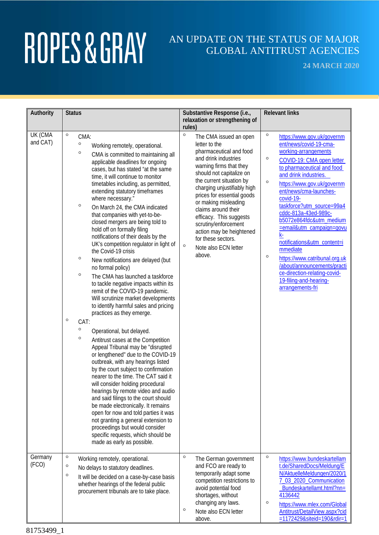### AN UPDATE ON THE STATUS OF MAJOR GLOBAL ANTITRUST AGENCIES

**24 MARCH 2020**

| Authority           | <b>Status</b>                                                                                                                                                                                                                                                                                                                                                                                                                                                                                                                                                                                                                                                                                                                                                                                                                                                                                                                                                                                                                                                                                                                                                                                                                                                                                                                                                                                                                                                                                                                                                | Substantive Response (i.e.,                                                                                                                                                                                                                                                                                                                                                                                                                            | <b>Relevant links</b>                                                                                                                                                                                                                                                                                                                                                                                                                                                                                                                                                                        |
|---------------------|--------------------------------------------------------------------------------------------------------------------------------------------------------------------------------------------------------------------------------------------------------------------------------------------------------------------------------------------------------------------------------------------------------------------------------------------------------------------------------------------------------------------------------------------------------------------------------------------------------------------------------------------------------------------------------------------------------------------------------------------------------------------------------------------------------------------------------------------------------------------------------------------------------------------------------------------------------------------------------------------------------------------------------------------------------------------------------------------------------------------------------------------------------------------------------------------------------------------------------------------------------------------------------------------------------------------------------------------------------------------------------------------------------------------------------------------------------------------------------------------------------------------------------------------------------------|--------------------------------------------------------------------------------------------------------------------------------------------------------------------------------------------------------------------------------------------------------------------------------------------------------------------------------------------------------------------------------------------------------------------------------------------------------|----------------------------------------------------------------------------------------------------------------------------------------------------------------------------------------------------------------------------------------------------------------------------------------------------------------------------------------------------------------------------------------------------------------------------------------------------------------------------------------------------------------------------------------------------------------------------------------------|
|                     |                                                                                                                                                                                                                                                                                                                                                                                                                                                                                                                                                                                                                                                                                                                                                                                                                                                                                                                                                                                                                                                                                                                                                                                                                                                                                                                                                                                                                                                                                                                                                              | relaxation or strengthening of<br>rules)                                                                                                                                                                                                                                                                                                                                                                                                               |                                                                                                                                                                                                                                                                                                                                                                                                                                                                                                                                                                                              |
| UK (CMA<br>and CAT) | $\circ$<br>CMA:<br>$\circ$<br>Working remotely, operational.<br>$\circ$<br>CMA is committed to maintaining all<br>applicable deadlines for ongoing<br>cases, but has stated "at the same<br>time, it will continue to monitor<br>timetables including, as permitted,<br>extending statutory timeframes<br>where necessary."<br>$\circ$<br>On March 24, the CMA indicated<br>that companies with yet-to-be-<br>closed mergers are being told to<br>hold off on formally filing<br>notifications of their deals by the<br>UK's competition regulator in light of<br>the Covid-19 crisis<br>$\circ$<br>New notifications are delayed (but<br>no formal policy)<br>$\circ$<br>The CMA has launched a taskforce<br>to tackle negative impacts within its<br>remit of the COVID-19 pandemic.<br>Will scrutinize market developments<br>to identify harmful sales and pricing<br>practices as they emerge.<br>$\circ$<br>CAT:<br>$\circ$<br>Operational, but delayed.<br>$\circ$<br>Antitrust cases at the Competition<br>Appeal Tribunal may be "disrupted<br>or lengthened" due to the COVID-19<br>outbreak, with any hearings listed<br>by the court subject to confirmation<br>nearer to the time. The CAT said it<br>will consider holding procedural<br>hearings by remote video and audio<br>and said filings to the court should<br>be made electronically. It remains<br>open for now and told parties it was<br>not granting a general extension to<br>proceedings but would consider<br>specific requests, which should be<br>made as early as possible. | $\circ$<br>The CMA issued an open<br>letter to the<br>pharmaceutical and food<br>and drink industries<br>warning firms that they<br>should not capitalize on<br>the current situation by<br>charging unjustifiably high<br>prices for essential goods<br>or making misleading<br>claims around their<br>efficacy. This suggests<br>scrutiny/enforcement<br>action may be heightened<br>for these sectors.<br>$\circ$<br>Note also ECN letter<br>above. | $\circ$<br>https://www.gov.uk/governm<br>ent/news/covid-19-cma-<br>working-arrangements<br>$\circ$<br>COVID-19: CMA open letter<br>to pharmaceutical and food<br>and drink industries.<br>$\circ$<br>https://www.gov.uk/governm<br>ent/news/cma-launches-<br>covid-19-<br>taskforce?utm_source=99a4<br>cddc-813a-43ed-989c-<br>b5072e864fdc&utm_medium<br>=email&utm_campaign=govu<br>k-<br>notifications&utm_content=i<br>mmediate<br>$\circ$<br>https://www.catribunal.org.uk<br>/about/announcements/practi<br>ce-direction-relating-covid-<br>19-filing-and-hearing-<br>arrangements-fri |
| Germany<br>(FCO)    | $\circ$<br>Working remotely, operational.<br>$\circ$<br>No delays to statutory deadlines.<br>$\circ$<br>It will be decided on a case-by-case basis<br>whether hearings of the federal public<br>procurement tribunals are to take place.                                                                                                                                                                                                                                                                                                                                                                                                                                                                                                                                                                                                                                                                                                                                                                                                                                                                                                                                                                                                                                                                                                                                                                                                                                                                                                                     | $\circ$<br>The German government<br>and FCO are ready to<br>temporarily adapt some<br>competition restrictions to<br>avoid potential food<br>shortages, without<br>changing any laws.<br>$\circ$<br>Note also ECN letter<br>above.                                                                                                                                                                                                                     | $\circ$<br>https://www.bundeskartellam<br>t.de/SharedDocs/Meldung/E<br>N/AktuelleMeldungen/2020/1<br>7_03_2020_Communication<br>Bundeskartellamt.html?nn=<br>4136442<br>$\circ$<br>https://www.mlex.com/Global<br>Antitrust/DetailView.aspx?cid<br>=1172429&siteid=190&rdir=1                                                                                                                                                                                                                                                                                                                |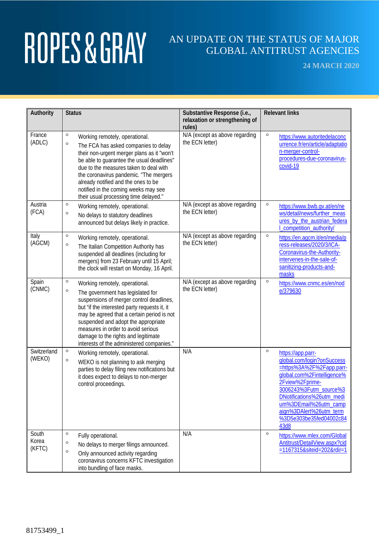### AN UPDATE ON THE STATUS OF MAJOR GLOBAL ANTITRUST AGENCIES

**24 MARCH 2020**

| Authority                | <b>Status</b>                                                                                                                                                                                                                                                                                                                                                                                        | Substantive Response (i.e.,                       | <b>Relevant links</b>                                                                                                                                                                                                                                                                 |
|--------------------------|------------------------------------------------------------------------------------------------------------------------------------------------------------------------------------------------------------------------------------------------------------------------------------------------------------------------------------------------------------------------------------------------------|---------------------------------------------------|---------------------------------------------------------------------------------------------------------------------------------------------------------------------------------------------------------------------------------------------------------------------------------------|
|                          |                                                                                                                                                                                                                                                                                                                                                                                                      | relaxation or strengthening of<br>rules)          |                                                                                                                                                                                                                                                                                       |
| France<br>(ADLC)         | $\circ$<br>Working remotely, operational.<br>$\circ$<br>The FCA has asked companies to delay<br>their non-urgent merger plans as it "won't<br>be able to guarantee the usual deadlines"<br>due to the measures taken to deal with<br>the coronavirus pandemic. "The mergers<br>already notified and the ones to be<br>notified in the coming weeks may see<br>their usual processing time delayed."  | N/A (except as above regarding<br>the ECN letter) | $\circ$<br>https://www.autoritedelaconc<br>urrence.fr/en/article/adaptatio<br>n-merger-control-<br>procedures-due-coronavirus-<br>covid-19                                                                                                                                            |
| Austria<br>(FCA)         | $\circ$<br>Working remotely, operational.<br>$\circ$<br>No delays to statutory deadlines<br>announced but delays likely in practice.                                                                                                                                                                                                                                                                 | N/A (except as above regarding<br>the ECN letter) | $\circ$<br>https://www.bwb.gv.at/en/ne<br>ws/detail/news/further_meas<br>ures_by_the_austrian_federa<br>competition_authority/                                                                                                                                                        |
| Italy<br>(AGCM)          | $\circ$<br>Working remotely, operational.<br>$\circ$<br>The Italian Competition Authority has<br>suspended all deadlines (including for<br>mergers) from 23 February until 15 April;<br>the clock will restart on Monday, 16 April.                                                                                                                                                                  | N/A (except as above regarding<br>the ECN letter) | $\circ$<br>https://en.agcm.it/en/media/p<br>ress-releases/2020/3/ICA-<br>Coronavirus-the-Authority-<br>intervenes-in-the-sale-of-<br>sanitizing-products-and-<br>masks                                                                                                                |
| Spain<br>(CNMC)          | $\circ$<br>Working remotely, operational.<br>$\circ$<br>The government has legislated for<br>suspensions of merger control deadlines,<br>but "if the interested party requests it, it<br>may be agreed that a certain period is not<br>suspended and adopt the appropriate<br>measures in order to avoid serious<br>damage to the rights and legitimate<br>interests of the administered companies." | N/A (except as above regarding<br>the ECN letter) | $\circ$<br>https://www.cnmc.es/en/nod<br>e/379630                                                                                                                                                                                                                                     |
| Switzerland<br>(WEKO)    | $\circ$<br>Working remotely, operational.<br>$\circ$<br>WEKO is not planning to ask merging<br>parties to delay filing new notifications but<br>it does expect to delays to non-merger<br>control proceedings.                                                                                                                                                                                       | N/A                                               | $\circ$<br>https://app.parr-<br>global.com/login?onSuccess<br>=https%3A%2F%2Fapp.parr-<br>global.com%2Fintelligence%<br>2Fview%2Fprime-<br>3006243%3Futm_source%3<br>DNotifications%26utm_medi<br>um%3DEmail%26utm_camp<br>aign%3DAlert%26utm_term<br>%3D5e303be35fed04002c84<br>43d8 |
| South<br>Korea<br>(KFTC) | $\circ$<br>Fully operational.<br>$\circ$<br>No delays to merger filings announced.<br>$\circ$<br>Only announced activity regarding<br>coronavirus concerns KFTC investigation<br>into bundling of face masks.                                                                                                                                                                                        | N/A                                               | $\circ$<br>https://www.mlex.com/Global<br>Antitrust/DetailView.aspx?cid<br>=1167315&siteid=202&rdir=1                                                                                                                                                                                 |